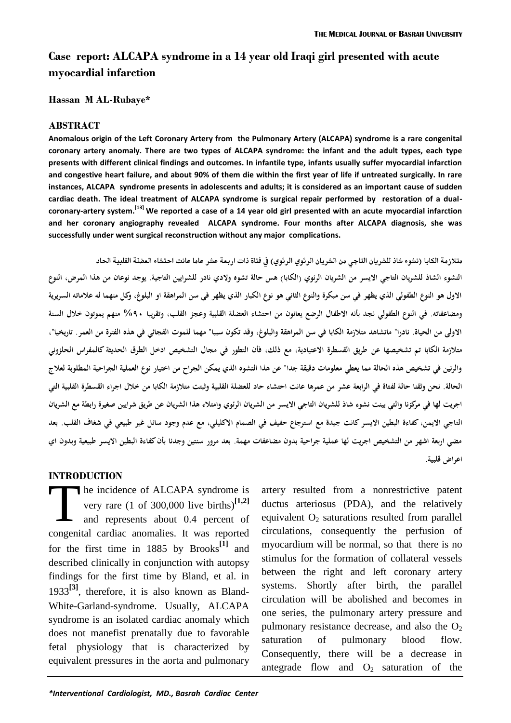# **Case report: ALCAPA syndrome in a 14 year old Iraqi girl presented with acute myocardial infarction**

**Hassan M AL-Rubaye\***

#### **ABSTRACT**

**Anomalous origin of the Left Coronary Artery from the Pulmonary Artery (ALCAPA) syndrome is a rare congenital coronary artery anomaly. There are two types of ALCAPA syndrome: the infant and the adult types, each type presents with different clinical findings and outcomes. In infantile type, infants usually suffer myocardial infarction and congestive heart failure, and about 90% of them die within the first year of life if untreated surgically. In rare instances, ALCAPA syndrome presents in adolescents and adults; it is considered as an important cause of sudden cardiac death. The ideal treatment of ALCAPA syndrome is surgical repair performed by restoration of a dualcoronary-artery system. [13] We reported a case of a 14 year old girl presented with an acute myocardial infarction and her coronary angiography revealed ALCAPA syndrome. Four months after ALCAPA diagnosis, she was successfully under went surgical reconstruction without any major complications.**

متلازمة الكابا (نشوء شاذ للشريان التاجي من الشريان الرئوي الرئوي) في فتاة ذات اربعة عشر عاما عانت احتشاء العضلة القلبية الحاد النشوء الشاذ للشريان التاجي الايسر من الشريان الرئوي (الكابا) هس حالة تشوه ولادي نادر للشرايين التاجية. يوجد نوعان من هذا المرض، النوع **االول ىو النوع الطفولي الذي يظهر في سن مبكرة والنوع الثاني ىو نوع الكبار الذي يظهر في سن المراىقة او البلوغ، وكل منهما لو عالماتو السريرية ومضاعفاتو. في النوع الطفولي نجد بأنو االطفال الرضع يعانون من احتشاء العضلة القلبية وعجز القلب، وتقريبا %09 منهم يموتون خالل السنة االولى من الحياة. نادرا" ماتشاىد متالزمة الكابا في سن المراىقة والبلوغ، وقد تكون سببا" مهما للموت الفجائي في ىذه الفترة من العمر. تاريخيا"، متالزمة الكابا تم تشخيصها عن طريق القسطرة االعتيادية، مع ذلك، فأن التطور في مجال التشخيص ادخل الطرق الحديثة كالمفراس الحلزوني والرنين في تشخيص ىذه الحالة مما يعطي معلومات دقيقة جدا" عن ىذا التشوه الذي يمكن الجراح من اختيار نوع العملية الجراحية المطلوبة لعالج الحالة. نحن وثقنا حالة لفتاة في الرابعة عشر من عمرىا عانت احتشاء حاد للعضلة القلبية وثبتت متالزمة الكابا من خالل اجراء القسطرة القلبية التي اجريت لها في مركزنا والتي بينت نشوء شاذ للشريان التاجي االيسر من الشريان الرئوي وامتالء ىذا الشريان عن طريق شرايين صغيرة رابطة مع الشريان التاجي االيمن، كفاءة البطين االيسر كانت جيدة مع استرجاع حفيف في الصمام االكليلي، مع عدم وجود سائل غير طبيعي في شغاف القلب. بعد مضي اربعة اشهر من التشخيص اجريت لها عملية جراحية بدون مضاعفات مهمة. بعد مرور سنتين وجدنا بأن كفاءة البطين االيسر طبيعية وبدون اي اعر اض قلبية.**

### **INTRODUCTION**

he incidence of ALCAPA syndrome is very rare (1 of 300,000 live births) **[1,2]** and represents about 0.4 percent of congenital cardiac anomalies. It was reported for the first time in 1885 by Brooks**[1]** and described clinically in conjunction with autopsy findings for the first time by Bland, et al. in 1933**[3]** , therefore, it is also known as Bland-White-Garland-syndrome. Usually, ALCAPA syndrome is an isolated cardiac anomaly which does not manefist prenatally due to favorable fetal physiology that is characterized by equivalent pressures in the aorta and pulmonary T<sup>T</sup>

artery resulted from a nonrestrictive patent ductus arteriosus (PDA), and the relatively equivalent  $O<sub>2</sub>$  saturations resulted from parallel circulations, consequently the perfusion of myocardium will be normal, so that there is no stimulus for the formation of collateral vessels between the right and left coronary artery systems. Shortly after birth, the parallel circulation will be abolished and becomes in one series, the pulmonary artery pressure and pulmonary resistance decrease, and also the  $O<sub>2</sub>$ saturation of pulmonary blood flow. Consequently, there will be a decrease in antegrade flow and  $O_2$  saturation of the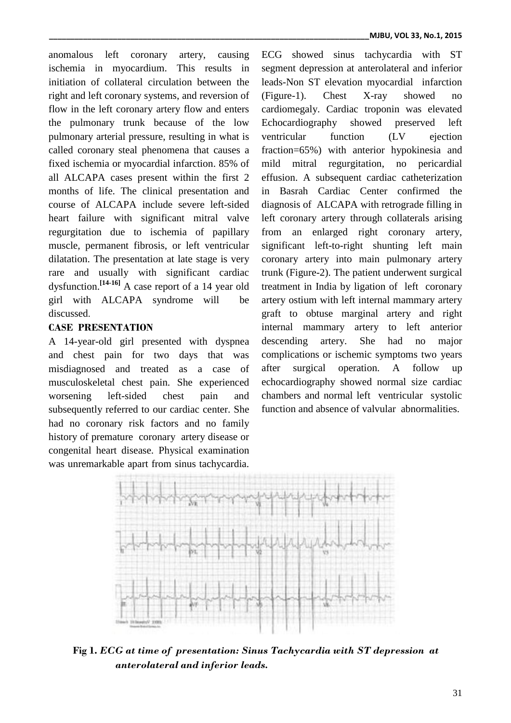anomalous left coronary artery, causing ischemia in myocardium. This results in initiation of collateral circulation between the right and left coronary systems, and reversion of flow in the left coronary artery flow and enters the pulmonary trunk because of the low pulmonary arterial pressure, resulting in what is called coronary steal phenomena that causes a fixed ischemia or myocardial infarction. 85% of all ALCAPA cases present within the first 2 months of life. The clinical presentation and course of ALCAPA include severe left-sided heart failure with significant mitral valve regurgitation due to ischemia of papillary muscle, permanent fibrosis, or left ventricular dilatation. The presentation at late stage is very rare and usually with significant cardiac dysfunction. **[14-16]** A case report of a 14 year old girl with ALCAPA syndrome will be discussed.

## **CASE PRESENTATION**

A 14-year-old girl presented with dyspnea and chest pain for two days that was misdiagnosed and treated as a case of musculoskeletal chest pain. She experienced worsening left-sided chest pain and subsequently referred to our cardiac center. She had no coronary risk factors and no family history of premature coronary artery disease or congenital heart disease. Physical examination was unremarkable apart from sinus tachycardia.

ECG showed sinus tachycardia with ST segment depression at anterolateral and inferior leads-Non ST elevation myocardial infarction (Figure-1). Chest X-ray showed no cardiomegaly. Cardiac troponin was elevated Echocardiography showed preserved left ventricular function (LV ejection fraction=65%) with anterior hypokinesia and mild mitral regurgitation, no pericardial effusion. A subsequent cardiac catheterization in Basrah Cardiac Center confirmed the diagnosis of ALCAPA with retrograde filling in left coronary artery through collaterals arising from an enlarged right coronary artery, significant left-to-right shunting left main coronary artery into main pulmonary artery trunk (Figure-2). The patient underwent surgical treatment in India by ligation of left coronary artery ostium with left internal mammary artery graft to obtuse marginal artery and right internal mammary artery to left anterior descending artery. She had no major complications or ischemic symptoms two years after surgical operation. A follow up echocardiography showed normal size cardiac chambers and normal left ventricular systolic function and absence of valvular abnormalities.



**Fig 1.** *ECG at time of presentation: Sinus Tachycardia with ST depression at anterolateral and inferior leads.*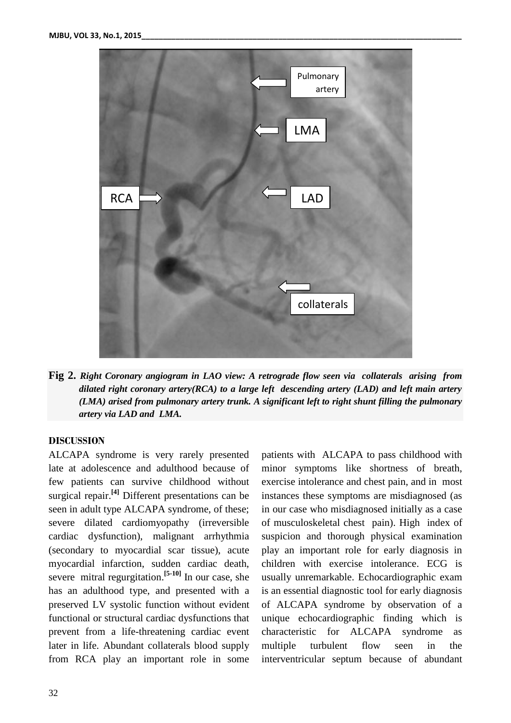

**Fig 2.** *Right Coronary angiogram in LAO view: A retrograde flow seen via collaterals arising from dilated right coronary artery(RCA) to a large left descending artery (LAD) and left main artery (LMA) arised from pulmonary artery trunk. A significant left to right shunt filling the pulmonary artery via LAD and LMA.*

### **DISCUSSION**

ALCAPA syndrome is very rarely presented late at adolescence and adulthood because of few patients can survive childhood without surgical repair.<sup>[4]</sup> Different presentations can be seen in adult type ALCAPA syndrome, of these; severe dilated cardiomyopathy (irreversible cardiac dysfunction), malignant arrhythmia (secondary to myocardial scar tissue), acute myocardial infarction, sudden cardiac death, severe mitral regurgitation. **[5-10]** In our case, she has an adulthood type, and presented with a preserved LV systolic function without evident functional or structural cardiac dysfunctions that prevent from a life-threatening cardiac event later in life. Abundant collaterals blood supply from RCA play an important role in some

patients with ALCAPA to pass childhood with minor symptoms like shortness of breath, exercise intolerance and chest pain, and in most instances these symptoms are misdiagnosed (as in our case who misdiagnosed initially as a case of musculoskeletal chest pain). High index of suspicion and thorough physical examination play an important role for early diagnosis in children with exercise intolerance. ECG is usually unremarkable. Echocardiographic exam is an essential diagnostic tool for early diagnosis of ALCAPA syndrome by observation of a unique echocardiographic finding which is characteristic for ALCAPA syndrome as multiple turbulent flow seen in the interventricular septum because of abundant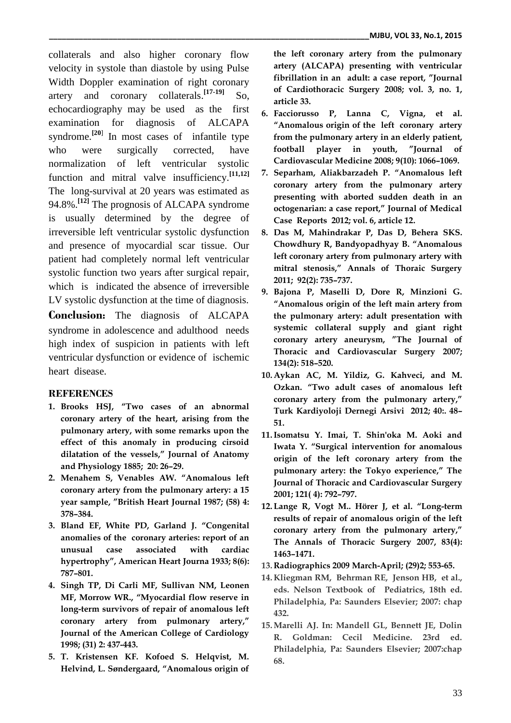collaterals and also higher coronary flow velocity in systole than diastole by using Pulse Width Doppler examination of right coronary artery and coronary collaterals. **[17-19]** So, echocardiography may be used as the first examination for diagnosis of ALCAPA syndrome.<sup>[20]</sup> In most cases of infantile type who were surgically corrected, have normalization of left ventricular systolic function and mitral valve insufficiency. **[11,12]** The long-survival at 20 years was estimated as 94.8%. **[12]** The prognosis of ALCAPA syndrome is usually determined by the degree of irreversible left ventricular systolic dysfunction and presence of myocardial scar tissue. Our patient had completely normal left ventricular systolic function two years after surgical repair, which is indicated the absence of irreversible LV systolic dysfunction at the time of diagnosis.

**Conclusion:** The diagnosis of ALCAPA syndrome in adolescence and adulthood needs high index of suspicion in patients with left ventricular dysfunction or evidence of ischemic heart disease.

### **REFERENCES**

- **1. Brooks HSJ, "Two cases of an abnormal coronary artery of the heart, arising from the pulmonary artery, with some remarks upon the effect of this anomaly in producing cirsoid dilatation of the vessels," Journal of Anatomy and Physiology 1885; 20: 26–29.**
- **2. Menahem S, Venables AW. "Anomalous left coronary artery from the pulmonary artery: a 15 year sample, "British Heart Journal 1987; (58) 4: 378–384.**
- **3. Bland EF, White PD, Garland J. "Congenital anomalies of the coronary arteries: report of an unusual case associated with cardiac hypertrophy", American Heart Journa 1933; 8(6): 787–801.**
- **4. Singh TP, Di Carli MF, Sullivan NM, Leonen MF, Morrow WR., "Myocardial flow reserve in long-term survivors of repair of anomalous left coronary artery from pulmonary artery," Journal of the American College of Cardiology 1998; (31) 2: 437-443.**
- **5. T. Kristensen KF. Kofoed S. Helqvist, M. Helvind, L. Søndergaard, "Anomalous origin of**

**the left coronary artery from the pulmonary artery (ALCAPA) presenting with ventricular fibrillation in an adult: a case report, "Journal of Cardiothoracic Surgery 2008; vol. 3, no. 1, article 33.**

- **6. Facciorusso P, Lanna C, Vigna, et al. "Anomalous origin of the left coronary artery from the pulmonary artery in an elderly patient, football player in youth, "Journal of Cardiovascular Medicine 2008; 9(10): 1066–1069.**
- **7. Separham, Aliakbarzadeh P. "Anomalous left coronary artery from the pulmonary artery presenting with aborted sudden death in an octogenarian: a case report," Journal of Medical Case Reports 2012; vol. 6, article 12.**
- **8. Das M, Mahindrakar P, Das D, Behera SKS. Chowdhury R, Bandyopadhyay B. "Anomalous left coronary artery from pulmonary artery with mitral stenosis," Annals of Thoraic Surgery 2011; 92(2): 735–737.**
- **9. Bajona P, Maselli D, Dore R, Minzioni G. "Anomalous origin of the left main artery from the pulmonary artery: adult presentation with systemic collateral supply and giant right coronary artery aneurysm, "The Journal of Thoracic and Cardiovascular Surgery 2007; 134(2): 518–520.**
- **10. Aykan AC, M. Yildiz, G. Kahveci, and M. Ozkan. "Two adult cases of anomalous left coronary artery from the pulmonary artery," Turk Kardiyoloji Dernegi Arsivi 2012; 40:. 48– 51.**
- **11.Isomatsu Y. Imai, T. Shin'oka M. Aoki and Iwata Y. "Surgical intervention for anomalous origin of the left coronary artery from the pulmonary artery: the Tokyo experience," The Journal of Thoracic and Cardiovascular Surgery 2001; 121( 4): 792–797.**
- **12. Lange R, Vogt M.. Hörer J, et al. "Long-term results of repair of anomalous origin of the left coronary artery from the pulmonary artery," The Annals of Thoracic Surgery 2007, 83(4): 1463–1471.**
- **13. Radiographics 2009 March-April; (29)2; 553-65.**
- **14. Kliegman RM, Behrman RE, Jenson HB, et al., eds. Nelson Textbook of Pediatrics, 18th ed. Philadelphia, Pa: Saunders Elsevier; 2007: chap 432.**
- **15.Marelli AJ. In: Mandell GL, Bennett JE, Dolin R. Goldman: Cecil Medicine. 23rd ed. Philadelphia, Pa: Saunders Elsevier; 2007:chap 68.**